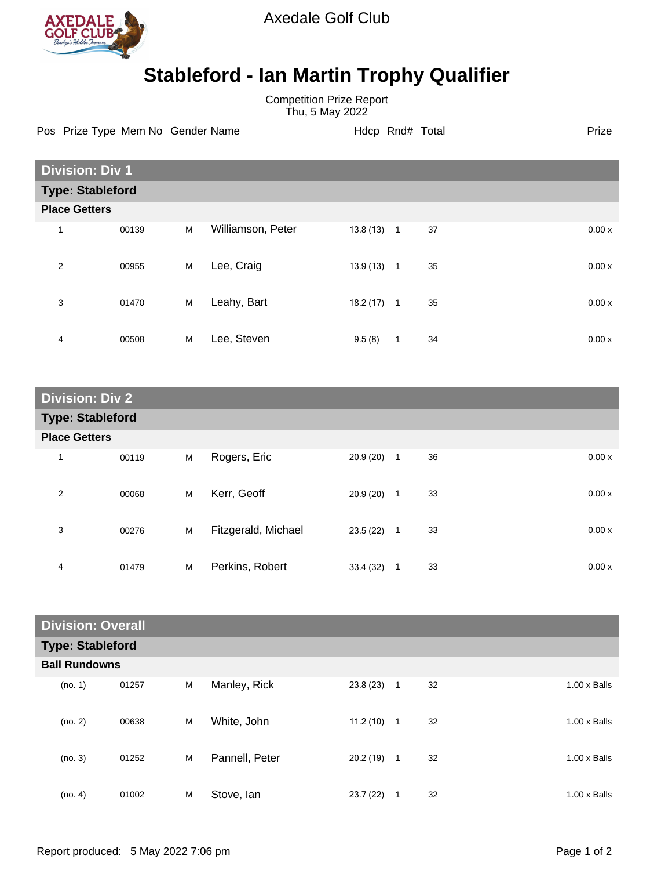

Axedale Golf Club

## **Stableford - Ian Martin Trophy Qualifier**

Competition Prize Report Thu, 5 May 2022

Pos Prize Type Mem No Gender Name **Hdcp Rnd# Total** Prize Prize

| <b>Division: Div 1</b>  |       |   |                   |          |                |    |  |       |
|-------------------------|-------|---|-------------------|----------|----------------|----|--|-------|
| <b>Type: Stableford</b> |       |   |                   |          |                |    |  |       |
| <b>Place Getters</b>    |       |   |                   |          |                |    |  |       |
| $\mathbf{1}$            | 00139 | M | Williamson, Peter | 13.8(13) | $\overline{1}$ | 37 |  | 0.00x |
| 2                       | 00955 | M | Lee, Craig        | 13.9(13) | $\mathbf{1}$   | 35 |  | 0.00x |
| 3                       | 01470 | M | Leahy, Bart       | 18.2(17) | $\mathbf{1}$   | 35 |  | 0.00x |
| 4                       | 00508 | M | Lee, Steven       | 9.5(8)   | $\mathbf{1}$   | 34 |  | 0.00x |

| <b>Division: Div 2</b>  |       |   |                     |           |              |    |       |
|-------------------------|-------|---|---------------------|-----------|--------------|----|-------|
| <b>Type: Stableford</b> |       |   |                     |           |              |    |       |
| <b>Place Getters</b>    |       |   |                     |           |              |    |       |
| $\mathbf 1$             | 00119 | M | Rogers, Eric        | 20.9 (20) | $\mathbf{1}$ | 36 | 0.00x |
| 2                       | 00068 | M | Kerr, Geoff         | 20.9(20)  | $\mathbf{1}$ | 33 | 0.00x |
| 3                       | 00276 | M | Fitzgerald, Michael | 23.5(22)  | $\mathbf{1}$ | 33 | 0.00x |
| 4                       | 01479 | M | Perkins, Robert     | 33.4 (32) | 1            | 33 | 0.00x |

| <b>Division: Overall</b> |       |   |                |           |              |    |                     |
|--------------------------|-------|---|----------------|-----------|--------------|----|---------------------|
| <b>Type: Stableford</b>  |       |   |                |           |              |    |                     |
| <b>Ball Rundowns</b>     |       |   |                |           |              |    |                     |
| (no. 1)                  | 01257 | M | Manley, Rick   | 23.8(23)  | $\mathbf{1}$ | 32 | $1.00 \times$ Balls |
| (no. 2)                  | 00638 | M | White, John    | 11.2(10)  | 1            | 32 | $1.00 \times$ Balls |
| (no. 3)                  | 01252 | M | Pannell, Peter | 20.2 (19) | $\mathbf{1}$ | 32 | $1.00 \times$ Balls |
| (no. 4)                  | 01002 | M | Stove, Ian     | 23.7(22)  | 1            | 32 | $1.00 \times$ Balls |